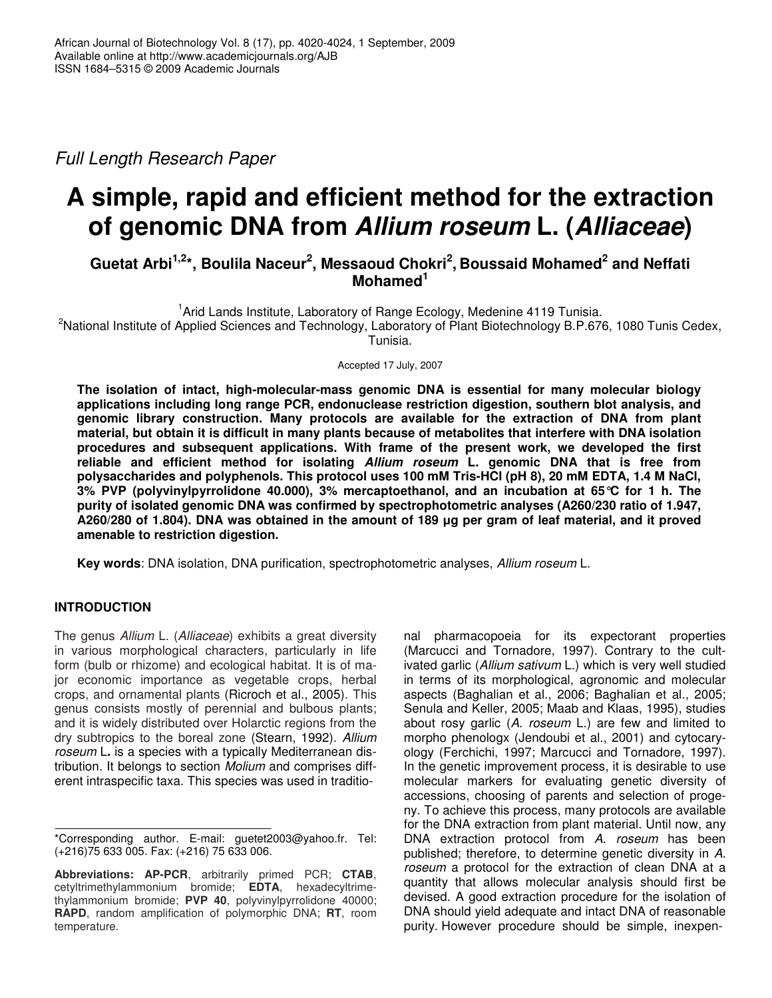*Full Length Research Paper*

# **A simple, rapid and efficient method for the extraction of genomic DNA from** *Allium roseum* **L. (***Alliaceae***)**

## **Guetat Arbi 1,2 \*, Boulila Naceur 2 , Messaoud Chokri 2 , Boussaid Mohamed 2 and Neffati Mohamed 1**

<sup>1</sup> Arid Lands Institute, Laboratory of Range Ecology, Medenine 4119 Tunisia. <sup>2</sup>National Institute of Applied Sciences and Technology, Laboratory of Plant Biotechnology B.P.676, 1080 Tunis Cedex, Tunisia.

Accepted 17 July, 2007

**The isolation of intact, high-molecular-mass genomic DNA is essential for many molecular biology applications including long range PCR, endonuclease restriction digestion, southern blot analysis, and genomic library construction. Many protocols are available for the extraction of DNA from plant** material, but obtain it is difficult in many plants because of metabolites that interfere with DNA isolation **procedures and subsequent applications. With frame of the present work, we developed the first reliable and efficient method for isolating** *Allium roseum* **L. genomic DNA that is free from polysaccharides and polyphenols. This protocol uses 100 mM Tris-HCl (pH 8), 20 mM EDTA, 1.4 M NaCl, 3% PVP (polyvinylpyrrolidone 40.000), 3% mercaptoethanol, and an incubation at 65°C for 1 h. The purity of isolated genomic DNA was confirmed by spectrophotometric analyses (A260/230 ratio of 1.947,** A260/280 of 1.804). DNA was obtained in the amount of 189 µg per gram of leaf material, and it proved **amenable to restriction digestion.**

**Key words**: DNA isolation, DNA purification, spectrophotometric analyses, *Allium roseum* L.

## **INTRODUCTION**

The genus *Allium* L. (*Alliaceae*) exhibits a great diversity in various morphological characters, particularly in life form (bulb or rhizome) and ecological habitat. It is of major economic importance as vegetable crops, herbal crops, and ornamental plants (Ricroch et al., 2005). This genus consists mostly of perennial and bulbous plants; and it is widely distributed over Holarctic regions from the dry subtropics to the boreal zone (Stearn, 1992). *Allium roseum* L**.** is a species with a typically Mediterranean distribution. It belongs to section *Molium* and comprises different intraspecific taxa. This species was used in traditio-

nal pharmacopoeia for its expectorant properties (Marcucci and Tornadore, 1997). Contrary to the cultivated garlic (*Allium sativum* L.) which is very well studied in terms of its morphological, agronomic and molecular aspects (Baghalian et al., 2006; Baghalian et al., 2005; Senula and Keller, 2005; Maab and Klaas, 1995), studies about rosy garlic (*A*. *roseum* L.) are few and limited to morpho phenologx (Jendoubi et al., 2001) and cytocaryology (Ferchichi, 1997; Marcucci and Tornadore, 1997). In the genetic improvement process, it is desirable to use molecular markers for evaluating genetic diversity of accessions, choosing of parents and selection of progeny. To achieve this process, many protocols are available for the DNA extraction from plant material. Until now, any DNA extraction protocol from *A*. *roseum* has been published; therefore, to determine genetic diversity in *A*. *roseum* a protocol for the extraction of clean DNA at a quantity that allows molecular analysis should first be devised. A good extraction procedure for the isolation of DNA should yield adequate and intact DNA of reasonable purity. However procedure should be simple, inexpen-

<sup>\*</sup>Corresponding author. E-mail: guetet2003@yahoo.fr. Tel: (+216)75 633 005. Fax: (+216) 75 633 006.

**Abbreviations: AP-PCR**, arbitrarily primed PCR; **CTAB**, cetyltrimethylammonium bromide; **EDTA**, hexadecyltrimethylammonium bromide; **PVP 40**, polyvinylpyrrolidone 40000; **RAPD**, random amplification of polymorphic DNA; **RT**, room temperature.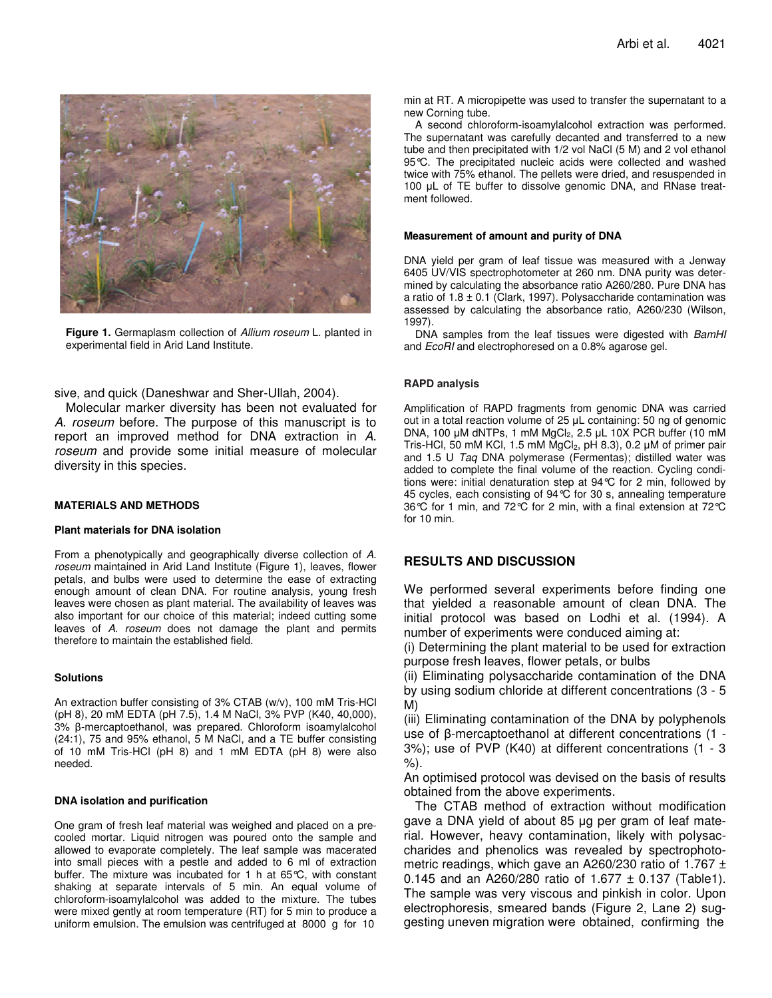

**Figure 1.** Germaplasm collection of *Allium roseum* L. planted in experimental field in Arid Land Institute.

sive, and quick (Daneshwar and Sher-Ullah, 2004).

Molecular marker diversity has been not evaluated for *A*. *roseum* before. The purpose of this manuscript is to report an improved method for DNA extraction in *A*. *roseum* and provide some initial measure of molecular diversity in this species.

#### **MATERIALS AND METHODS**

#### **Plant materials for DNA isolation**

From a phenotypically and geographically diverse collection of *A*. *roseum* maintained in Arid Land Institute (Figure 1), leaves, flower petals, and bulbs were used to determine the ease of extracting enough amount of clean DNA. For routine analysis, young fresh leaves were chosen as plant material. The availability of leaves was also important for our choice of this material; indeed cutting some leaves of *A*. *roseum* does not damage the plant and permits therefore to maintain the established field.

#### **Solutions**

An extraction buffer consisting of 3% CTAB (w/v), 100 mM Tris-HCl (pH 8), 20 mM EDTA (pH 7.5), 1.4 M NaCl, 3% PVP (K40, 40,000), 3% ß-mercaptoethanol, was prepared. Chloroform isoamylalcohol (24:1), 75 and 95% ethanol, 5 M NaCl, and a TE buffer consisting of 10 mM Tris-HCl (pH 8) and 1 mM EDTA (pH 8) were also needed.

#### **DNA isolation and purification**

One gram of fresh leaf material was weighed and placed on a precooled mortar. Liquid nitrogen was poured onto the sample and allowed to evaporate completely. The leaf sample was macerated into small pieces with a pestle and added to 6 ml of extraction buffer. The mixture was incubated for 1 h at 65°C, with constant shaking at separate intervals of 5 min. An equal volume of chloroform-isoamylalcohol was added to the mixture. The tubes were mixed gently at room temperature (RT) for 5 min to produce a uniform emulsion. The emulsion was centrifuged at 8000 g for 10

min at RT. A micropipette was used to transfer the supernatant to a new Corning tube.

A second chloroform-isoamylalcohol extraction was performed. The supernatant was carefully decanted and transferred to a new tube and then precipitated with 1/2 vol NaCl (5 M) and 2 vol ethanol 95°C. The precipitated nucleic acids were collected and washed twice with 75% ethanol. The pellets were dried, and resuspended in 100 µL of TE buffer to dissolve genomic DNA, and RNase treatment followed.

#### **Measurement of amount and purity of DNA**

DNA yield per gram of leaf tissue was measured with a Jenway 6405 UV/VIS spectrophotometer at 260 nm. DNA purity was determined by calculating the absorbance ratio A260/280. Pure DNA has a ratio of  $1.8 \pm 0.1$  (Clark, 1997). Polysaccharide contamination was assessed by calculating the absorbance ratio, A260/230 (Wilson, 1997).

DNA samples from the leaf tissues were digested with *BamHI* and *EcoRI* and electrophoresed on a 0.8% agarose gel.

#### **RAPD analysis**

Amplification of RAPD fragments from genomic DNA was carried out in a total reaction volume of 25 µL containing: 50 ng of genomic DNA, 100 µM dNTPs, 1 mM MgCl<sub>2</sub>, 2.5 µL 10X PCR buffer (10 mM Tris-HCl, 50 mM KCl, 1.5 mM MgCl<sub>2</sub>, pH 8.3), 0.2  $\mu$ M of primer pair and 1.5 U *Taq* DNA polymerase (Fermentas); distilled water was added to complete the final volume of the reaction. Cycling conditions were: initial denaturation step at 94°C for 2 min, followed by 45 cycles, each consisting of 94°C for 30 s, annealing temperature 36°C for 1 min, and 72°C for 2 min, with a final extension at 72°C for 10 min.

## **RESULTS AND DISCUSSION**

We performed several experiments before finding one that yielded a reasonable amount of clean DNA. The initial protocol was based on Lodhi et al. (1994). A number of experiments were conduced aiming at:

(i) Determining the plant material to be used for extraction purpose fresh leaves, flower petals, or bulbs

(ii) Eliminating polysaccharide contamination of the DNA by using sodium chloride at different concentrations (3 - 5 M)

(iii) Eliminating contamination of the DNA by polyphenols use of  $\beta$ -mercaptoethanol at different concentrations (1 -3%); use of PVP (K40) at different concentrations (1 - 3 %).

An optimised protocol was devised on the basis of results obtained from the above experiments.

The CTAB method of extraction without modification gave a DNA yield of about 85 µg per gram of leaf material. However, heavy contamination, likely with polysaccharides and phenolics was revealed by spectrophotometric readings, which gave an A260/230 ratio of 1.767  $\pm$ 0.145 and an A260/280 ratio of 1.677  $\pm$  0.137 (Table1). The sample was very viscous and pinkish in color. Upon electrophoresis, smeared bands (Figure 2, Lane 2) suggesting uneven migration were obtained, confirming the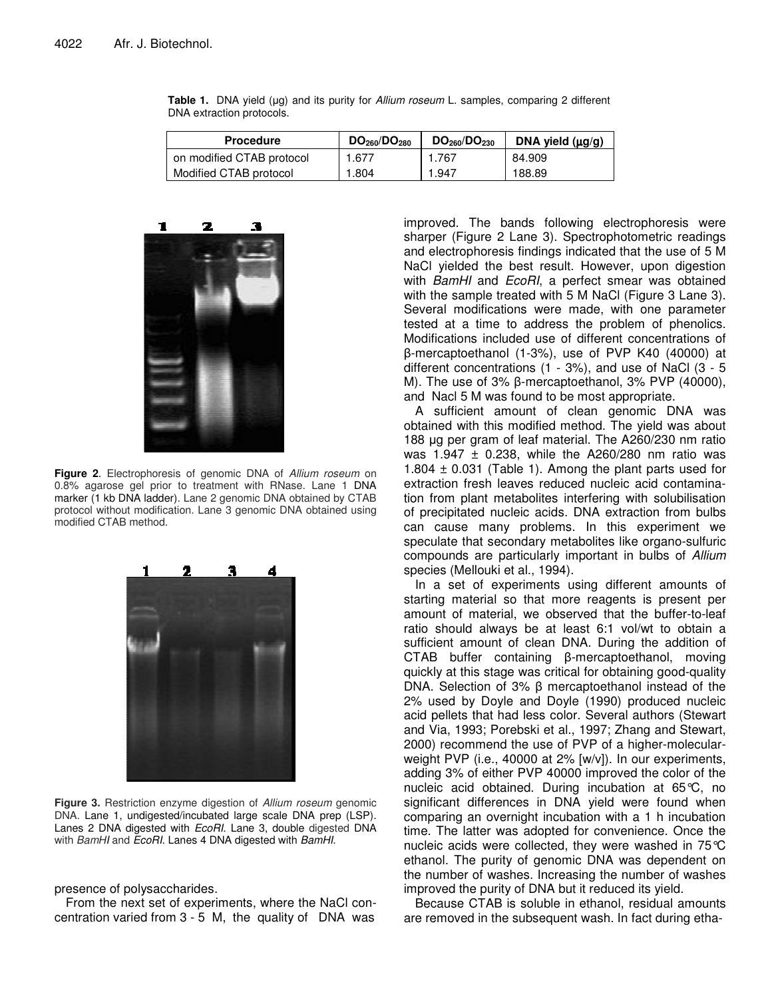| <b>Procedure</b>          | DO <sub>260</sub> /DO <sub>280</sub> | DO <sub>260</sub> /DO <sub>230</sub> | DNA yield $(\mu g/g)$ |
|---------------------------|--------------------------------------|--------------------------------------|-----------------------|
| on modified CTAB protocol | 1.677                                | 1.767                                | 84.909                |
| Modified CTAB protocol    | 1.804                                | 1.947                                | 188.89                |

Table 1. DNA yield (µg) and its purity for *Allium roseum* L. samples, comparing 2 different DNA extraction protocols.



**Figure 2**. Electrophoresis of genomic DNA of *Allium roseum* on 0.8% agarose gel prior to treatment with RNase. Lane 1 DNA marker (1 kb DNA ladder). Lane 2 genomic DNA obtained by CTAB protocol without modification. Lane 3 genomic DNA obtained using modified CTAB method.



**Figure 3.** Restriction enzyme digestion of *Allium roseum* genomic DNA. Lane 1, undigested/incubated large scale DNA prep (LSP). Lanes 2 DNA digested with *EcoRI*. Lane 3, double digested DNA with *BamHI* and *EcoRI*. Lanes 4 DNA digested with *BamHI*.

presence of polysaccharides.

From the next set of experiments, where the NaCl concentration varied from 3 - 5 M, the quality of DNA was

improved. The bands following electrophoresis were sharper (Figure 2 Lane 3). Spectrophotometric readings and electrophoresis findings indicated that the use of 5 M NaCl yielded the best result. However, upon digestion with *BamHI* and *EcoRI*, a perfect smear was obtained with the sample treated with 5 M NaCl (Figure 3 Lane 3). Several modifications were made, with one parameter tested at a time to address the problem of phenolics. Modifications included use of different concentrations of -mercaptoethanol (1-3%), use of PVP K40 (40000) at different concentrations (1 - 3%), and use of NaCl (3 - 5 M). The use of  $3\%$   $\beta$ -mercaptoethanol,  $3\%$  PVP (40000), and Nacl 5 M was found to be most appropriate.

A sufficient amount of clean genomic DNA was obtained with this modified method. The yield was about 188 µg per gram of leaf material. The A260/230 nm ratio was 1.947  $\pm$  0.238, while the A260/280 nm ratio was 1.804  $\pm$  0.031 (Table 1). Among the plant parts used for extraction fresh leaves reduced nucleic acid contamination from plant metabolites interfering with solubilisation of precipitated nucleic acids. DNA extraction from bulbs can cause many problems. In this experiment we speculate that secondary metabolites like organo-sulfuric compounds are particularly important in bulbs of *Allium* species (Mellouki et al., 1994).

In a set of experiments using different amounts of starting material so that more reagents is present per amount of material, we observed that the buffer-to-leaf ratio should always be at least 6:1 vol/wt to obtain a sufficient amount of clean DNA. During the addition of  $CTAB$  buffer containing  $\beta$ -mercaptoethanol, moving quickly at this stage was critical for obtaining good-quality DNA. Selection of 3%  $\beta$  mercaptoethanol instead of the 2% used by Doyle and Doyle (1990) produced nucleic acid pellets that had less color. Several authors (Stewart and Via, 1993; Porebski et al., 1997; Zhang and Stewart, 2000) recommend the use of PVP of a higher-molecularweight PVP (i.e., 40000 at 2% [w/v]). In our experiments, adding 3% of either PVP 40000 improved the color of the nucleic acid obtained. During incubation at 65°C, no significant differences in DNA yield were found when comparing an overnight incubation with a 1 h incubation time. The latter was adopted for convenience. Once the nucleic acids were collected, they were washed in 75°C ethanol. The purity of genomic DNA was dependent on the number of washes. Increasing the number of washes improved the purity of DNA but it reduced its yield.

Because CTAB is soluble in ethanol, residual amounts are removed in the subsequent wash. In fact during etha-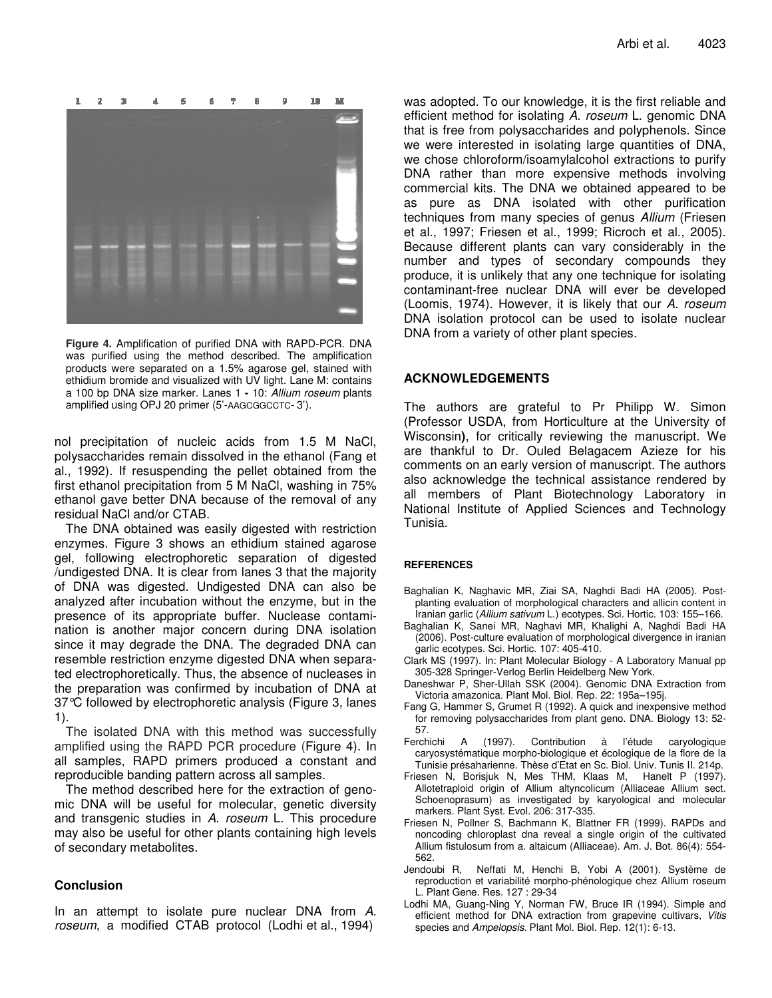

**Figure 4.** Amplification of purified DNA with RAPD-PCR. DNA was purified using the method described. The amplification products were separated on a 1.5% agarose gel, stained with ethidium bromide and visualized with UV light. Lane M: contains a 100 bp DNA size marker. Lanes 1 **-** 10: *Allium roseum* plants amplified using OPJ 20 primer (5'-AAGCGGCCTC- 3').

nol precipitation of nucleic acids from 1.5 M NaCl, polysaccharides remain dissolved in the ethanol (Fang et al., 1992). If resuspending the pellet obtained from the first ethanol precipitation from 5 M NaCl, washing in 75% ethanol gave better DNA because of the removal of any residual NaCl and/or CTAB.

The DNA obtained was easily digested with restriction enzymes. Figure 3 shows an ethidium stained agarose gel, following electrophoretic separation of digested /undigested DNA. It is clear from lanes 3 that the majority of DNA was digested. Undigested DNA can also be analyzed after incubation without the enzyme, but in the presence of its appropriate buffer. Nuclease contamination is another major concern during DNA isolation since it may degrade the DNA. The degraded DNA can resemble restriction enzyme digested DNA when separated electrophoretically. Thus, the absence of nucleases in the preparation was confirmed by incubation of DNA at 37°C followed by electrophoretic analysis (Figure 3, lanes 1).

The isolated DNA with this method was successfully amplified using the RAPD PCR procedure (Figure 4). In all samples, RAPD primers produced a constant and reproducible banding pattern across all samples.

The method described here for the extraction of genomic DNA will be useful for molecular, genetic diversity and transgenic studies in *A*. *roseum* L. This procedure may also be useful for other plants containing high levels of secondary metabolites.

#### **Conclusion**

In an attempt to isolate pure nuclear DNA from *A*. *roseum*, a modified CTAB protocol (Lodhi et al., 1994)

was adopted. To our knowledge, it is the first reliable and efficient method for isolating *A*. *roseum* L. genomic DNA that is free from polysaccharides and polyphenols. Since we were interested in isolating large quantities of DNA, we chose chloroform/isoamylalcohol extractions to purify DNA rather than more expensive methods involving commercial kits. The DNA we obtained appeared to be as pure as DNA isolated with other purification techniques from many species of genus *Allium* (Friesen et al., 1997; Friesen et al., 1999; Ricroch et al., 2005). Because different plants can vary considerably in the number and types of secondary compounds they produce, it is unlikely that any one technique for isolating contaminant-free nuclear DNA will ever be developed (Loomis, 1974). However, it is likely that our *A*. *roseum* DNA isolation protocol can be used to isolate nuclear DNA from a variety of other plant species.

### **ACKNOWLEDGEMENTS**

The authors are grateful to Pr Philipp W. Simon (Professor USDA, from Horticulture at the University of Wisconsin**)**, for critically reviewing the manuscript. We are thankful to Dr. Ouled Belagacem Azieze for his comments on an early version of manuscript. The authors also acknowledge the technical assistance rendered by all members of Plant Biotechnology Laboratory in National Institute of Applied Sciences and Technology Tunisia.

#### **REFERENCES**

- Baghalian K, Naghavic MR, Ziai SA, Naghdi Badi HA (2005). Postplanting evaluation of morphological characters and allicin content in Iranian garlic (*Allium sativum* L.) ecotypes. Sci. Hortic. 103: 155–166.
- Baghalian K, Sanei MR, Naghavi MR, Khalighi A, Naghdi Badi HA (2006). Post-culture evaluation of morphological divergence in iranian garlic ecotypes. Sci. Hortic. 107: 405-410.
- Clark MS (1997). In: Plant Molecular Biology A Laboratory Manual pp 305-328 Springer-Verlog Berlin Heidelberg New York.
- Daneshwar P, Sher-Ullah SSK (2004). Genomic DNA Extraction from Victoria amazonica. Plant Mol. Biol. Rep. 22: 195a–195j.
- Fang G, Hammer S, Grumet R (1992). A quick and inexpensive method for removing polysaccharides from plant geno. DNA. Biology 13: 52- 57.
- Ferchichi A (1997). Contribution à l'étude caryologique caryosystématique morpho-biologique et écologique de la flore de la Tunisie présaharienne. Thèse d'Etat en Sc. Biol. Univ. Tunis II. 214p.
- Friesen N, Borisjuk N, Mes THM, Klaas M, Hanelt P (1997). Allotetraploid origin of Allium altyncolicum (Alliaceae Allium sect. Schoenoprasum) as investigated by karyological and molecular markers. Plant Syst. Evol. 206: 317-335.
- Friesen N, Pollner S, Bachmann K, Blattner FR (1999). RAPDs and noncoding chloroplast dna reveal a single origin of the cultivated Allium fistulosum from a. altaicum (Alliaceae). Am. J. Bot. 86(4): 554- 562.
- Jendoubi R, Neffati M, Henchi B, Yobi A (2001). Système de reproduction et variabilité morpho-phénologique chez Allium roseum L. Plant Gene. Res. 127 : 29-34
- Lodhi MA, Guang-Ning Y, Norman FW, Bruce IR (1994). Simple and efficient method for DNA extraction from grapevine cultivars, *Vitis* species and *Ampelopsis*. Plant Mol. Biol. Rep. 12(1): 6-13.